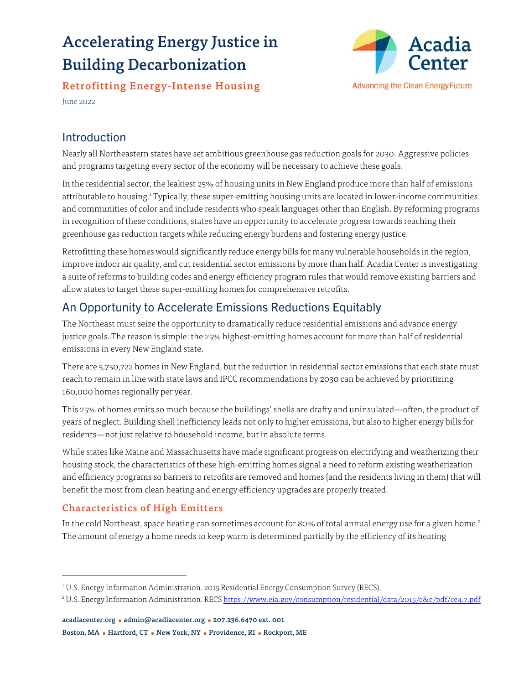# Accelerating Energy Justice in Building Decarbonization



Retrofitting Energy-Intense Housing

June 2022

# Introduction

Nearly all Northeastern states have set ambitious greenhouse gas reduction goals for 2030. Aggressive policies and programs targeting every sector of the economy will be necessary to achieve these goals.

In the residential sector, the leakiest 25% of housing units in New England produce more than half of emissions attributable to housing.<sup>1</sup> Typically, these super-emitting housing units are located in lower-income communities and communities of color and include residents who speak languages other than English. By reforming programs in recognition of these conditions, states have an opportunity to accelerate progress towards reaching their greenhouse gas reduction targets while reducing energy burdens and fostering energy justice.

Retrofitting these homes would significantly reduce energy bills for many vulnerable households in the region, improve indoor air quality, and cut residential sector emissions by more than half. Acadia Center is investigating a suite of reforms to building codes and energy efficiency program rules that would remove existing barriers and allow states to target these super-emitting homes for comprehensive retrofits.

# An Opportunity to Accelerate Emissions Reductions Equitably

The Northeast must seize the opportunity to dramatically reduce residential emissions and advance energy justice goals. The reason is simple: the 25% highest-emitting homes account for more than half of residential emissions in every New England state.

There are 5,750,722 homes in New England, but the reduction in residential sector emissions that each state must reach to remain in line with state laws and IPCC recommendations by 2030 can be achieved by prioritizing 160,000 homes regionally per year.

This 25% of homes emits so much because the buildings' shells are drafty and uninsulated—often, the product of years of neglect. Building shell inefficiency leads not only to higher emissions, but also to higher energy bills for residents—not just relative to household income, but in absolute terms.

While states like Maine and Massachusetts have made significant progress on electrifying and weatherizing their housing stock, the characteristics of these high-emitting homes signal a need to reform existing weatherization and efficiency programs so barriers to retrofits are removed and homes (and the residents living in them) that will benefit the most from clean heating and energy efficiency upgrades are properly treated.

## Characteristics of High Emitters

In the cold Northeast, space heating can sometimes account for 80% of total annual energy use for a given home.<sup>2</sup> The amount of energy a home needs to keep warm is determined partially by the efficiency of its heating

<sup>&</sup>lt;sup>1</sup> U.S. Energy Information Administration. 2015 Residential Energy Consumption Survey (RECS).

<sup>&</sup>lt;sup>2</sup>U.S. Energy Information Administration. RECS <https://www.eia.gov/consumption/residential/data/2015/c&e/pdf/ce4.7.pdf>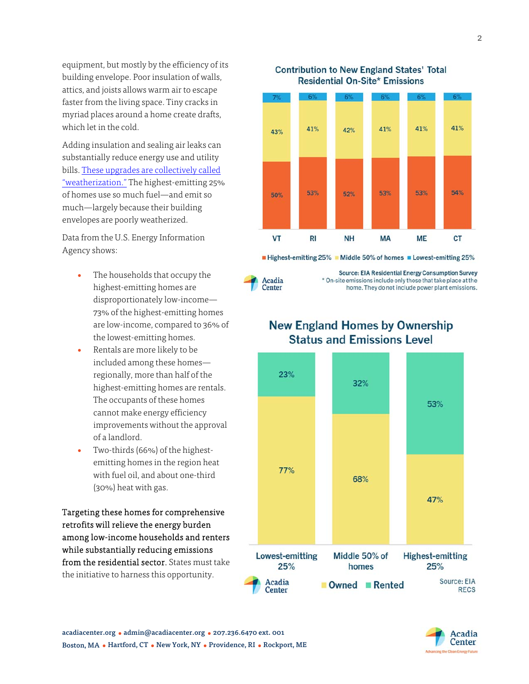equipment, but mostly by the efficiency of its building envelope. Poor insulation of walls, attics, and joists allows warm air to escape faster from the living space. Tiny cracks in myriad places around a home create drafts, which let in the cold.

Adding insulation and sealing air leaks can substantially reduce energy use and utility [bills. These upgrades are collectively called](https://acadiacenter.org/what-is-weatherization/) "weatherization." The highest-emitting 25% of homes use so much fuel—and emit so much—largely because their building envelopes are poorly weatherized.

Data from the U.S. Energy Information Agency shows:

- The households that occupy the highest-emitting homes are disproportionately low-income— 73% of the highest-emitting homes are low-income, compared to 36% of the lowest-emitting homes.
- Rentals are more likely to be included among these homes regionally, more than half of the highest-emitting homes are rentals. The occupants of these homes cannot make energy efficiency improvements without the approval of a landlord.
- Two-thirds (66%) of the highestemitting homes in the region heat with fuel oil, and about one-third (30%) heat with gas.

Targeting these homes for comprehensive retrofits will relieve the energy burden among low-income households and renters while substantially reducing emissions from the residential sector. States must take the initiative to harness this opportunity.



**Contribution to New England States' Total Residential On-Site\* Emissions** 



■ Highest-emitting 25% ■ Middle 50% of homes ■ Lowest-emitting 25%

Source: EIA Residential Energy Consumption Survey \* On-site emissions include only those that take place at the home. They do not include power plant emissions.

# **New England Homes by Ownership Status and Emissions Level**



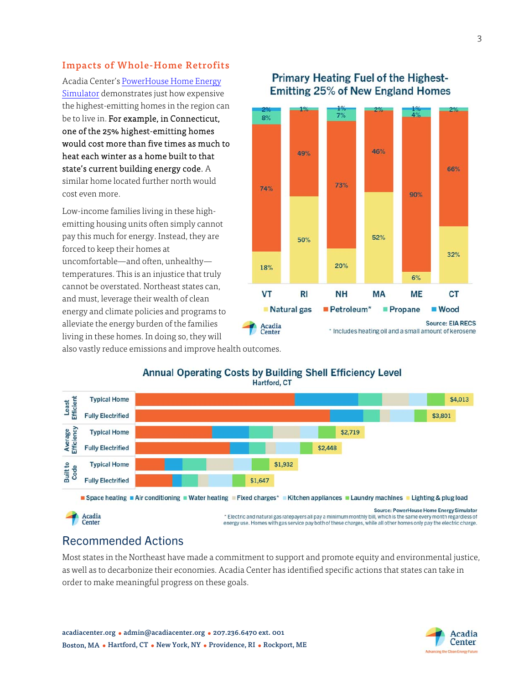#### Impacts of Whole-Home Retrofits

Acadia Center's [PowerHouse Home Energy](https://acadiacenter.org/powerhouse-and-building-electrification-fact-vs-fiction/) [Simulator](https://acadiacenter.org/powerhouse-and-building-electrification-fact-vs-fiction/) demonstrates just how expensive the highest-emitting homes in the region can be to live in. For example, in Connecticut, one of the 25% highest-emitting homes would cost more than five times as much to heat each winter as a home built to that state's current building energy code. A similar home located further north would cost even more.

Low-income families living in these highemitting housing units often simply cannot pay this much for energy. Instead, they are forced to keep their homes at uncomfortable—and often, unhealthy temperatures. This is an injustice that truly cannot be overstated. Northeast states can, and must, leverage their wealth of clean energy and climate policies and programs to alleviate the energy burden of the families living in these homes. In doing so, they will

### **Primary Heating Fuel of the Highest-Emitting 25% of New England Homes**



also vastly reduce emissions and improve health outcomes.



#### **Annual Operating Costs by Building Shell Efficiency Level** Hartford, CT

energy use. Homes with gas service pay both of these charges, while all other homes only pay the electric charge.

# Recommended Actions

Most states in the Northeast have made a commitment to support and promote equity and environmental justice, as well as to decarbonize their economies. Acadia Center has identified specific actions that states can take in order to make meaningful progress on these goals.